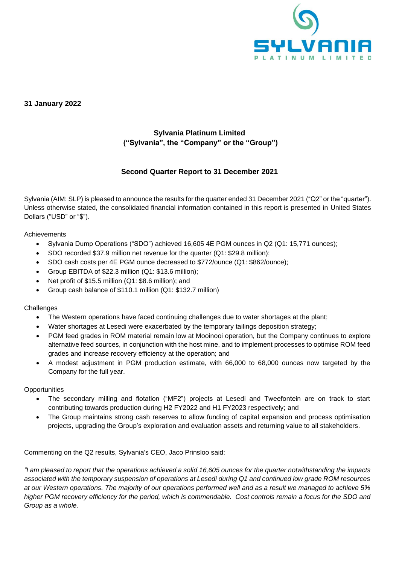

# **31 January 2022**

# **Sylvania Platinum Limited ("Sylvania", the "Company" or the "Group")**

**\_\_\_\_\_\_\_\_\_\_\_\_\_\_\_\_\_\_\_\_\_\_\_\_\_\_\_\_\_\_\_\_\_\_\_\_\_\_\_\_\_\_\_\_\_\_\_\_\_\_\_\_\_\_\_\_\_\_\_\_\_\_\_\_\_\_\_\_\_\_\_\_\_\_\_\_\_\_\_\_\_\_\_\_\_\_\_\_\_\_\_\_\_\_\_\_\_\_\_\_\_\_\_\_\_\_\_\_\_\_\_\_\_\_\_\_\_\_\_\_\_\_\_\_\_**

# **Second Quarter Report to 31 December 2021**

Sylvania (AIM: SLP) is pleased to announce the results for the quarter ended 31 December 2021 ("Q2" or the "quarter"). Unless otherwise stated, the consolidated financial information contained in this report is presented in United States Dollars ("USD" or "\$").

Achievements

- Sylvania Dump Operations ("SDO") achieved 16,605 4E PGM ounces in Q2 (Q1: 15,771 ounces);
- SDO recorded \$37.9 million net revenue for the quarter (Q1: \$29.8 million);
- SDO cash costs per 4E PGM ounce decreased to \$772/ounce (Q1: \$862/ounce);
- Group EBITDA of \$22.3 million (Q1: \$13.6 million);
- Net profit of \$15.5 million (Q1: \$8.6 million); and
- Group cash balance of \$110.1 million (Q1: \$132.7 million)

### **Challenges**

- The Western operations have faced continuing challenges due to water shortages at the plant;
- Water shortages at Lesedi were exacerbated by the temporary tailings deposition strategy;
- PGM feed grades in ROM material remain low at Mooinooi operation, but the Company continues to explore alternative feed sources, in conjunction with the host mine, and to implement processes to optimise ROM feed grades and increase recovery efficiency at the operation; and
- A modest adjustment in PGM production estimate, with 66,000 to 68,000 ounces now targeted by the Company for the full year.

**Opportunities** 

- The secondary milling and flotation ("MF2") projects at Lesedi and Tweefontein are on track to start contributing towards production during H2 FY2022 and H1 FY2023 respectively; and
- The Group maintains strong cash reserves to allow funding of capital expansion and process optimisation projects, upgrading the Group's exploration and evaluation assets and returning value to all stakeholders.

Commenting on the Q2 results, Sylvania's CEO, Jaco Prinsloo said:

*"I am pleased to report that the operations achieved a solid 16,605 ounces for the quarter notwithstanding the impacts associated with the temporary suspension of operations at Lesedi during Q1 and continued low grade ROM resources at our Western operations. The majority of our operations performed well and as a result we managed to achieve 5% higher PGM recovery efficiency for the period, which is commendable. Cost controls remain a focus for the SDO and Group as a whole.*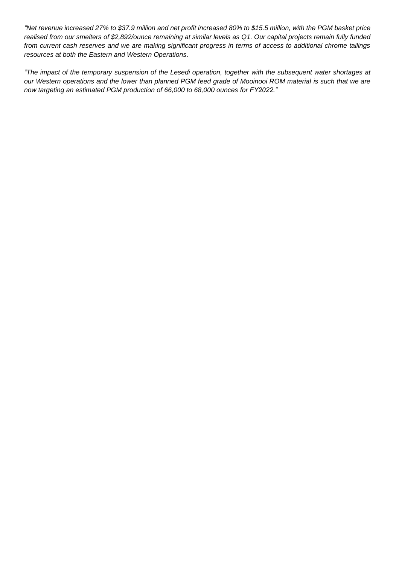*"Net revenue increased 27% to \$37.9 million and net profit increased 80% to \$15.5 million, with the PGM basket price realised from our smelters of \$2,892/ounce remaining at similar levels as Q1. Our capital projects remain fully funded from current cash reserves and we are making significant progress in terms of access to additional chrome tailings resources at both the Eastern and Western Operations.*

*"The impact of the temporary suspension of the Lesedi operation, together with the subsequent water shortages at our Western operations and the lower than planned PGM feed grade of Mooinooi ROM material is such that we are now targeting an estimated PGM production of 66,000 to 68,000 ounces for FY2022."*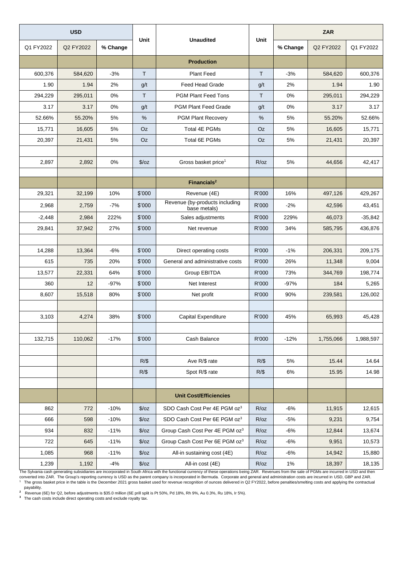| <b>USD</b> |           |          | Unit          | <b>Unaudited</b>                               | Unit         | <b>ZAR</b> |           |           |
|------------|-----------|----------|---------------|------------------------------------------------|--------------|------------|-----------|-----------|
| Q1 FY2022  | Q2 FY2022 | % Change |               |                                                |              | % Change   | Q2 FY2022 | Q1 FY2022 |
|            |           |          |               | <b>Production</b>                              |              |            |           |           |
| 600,376    | 584,620   | $-3%$    | T             | <b>Plant Feed</b>                              | $\mathsf{T}$ | $-3%$      | 584,620   | 600,376   |
| 1.90       | 1.94      | 2%       | g/t           | <b>Feed Head Grade</b>                         | g/t          | 2%         | 1.94      | 1.90      |
| 294,229    | 295,011   | 0%       | T             | <b>PGM Plant Feed Tons</b>                     | T            | $0\%$      | 295,011   | 294,229   |
| 3.17       | 3.17      | 0%       | g/t           | <b>PGM Plant Feed Grade</b>                    | g/t          | 0%         | 3.17      | 3.17      |
| 52.66%     | 55.20%    | 5%       | %             | <b>PGM Plant Recovery</b>                      | %            | 5%         | 55.20%    | 52.66%    |
| 15,771     | 16,605    | 5%       | Oz            | <b>Total 4E PGMs</b>                           | Oz           | 5%         | 16,605    | 15,771    |
| 20,397     | 21,431    | 5%       | Oz            | <b>Total 6E PGMs</b>                           | Oz           | 5%         | 21,431    | 20,397    |
|            |           |          |               |                                                |              |            |           |           |
| 2,897      | 2,892     | 0%       | $\sqrt{2}/oz$ | Gross basket price <sup>1</sup>                | R/oz         | 5%         | 44,656    | 42,417    |
|            |           |          |               |                                                |              |            |           |           |
|            |           |          |               | Financials <sup>2</sup>                        |              |            |           |           |
| 29,321     | 32,199    | 10%      | \$'000        | Revenue (4E)                                   | R'000        | 16%        | 497,126   | 429,267   |
| 2,968      | 2.759     | $-7%$    | \$'000        | Revenue (by-products including<br>base metals) | R'000        | $-2%$      | 42,596    | 43,451    |
| $-2,448$   | 2,984     | 222%     | \$'000        | Sales adjustments                              | R'000        | 229%       | 46.073    | $-35,842$ |
| 29,841     | 37,942    | 27%      | \$'000        | Net revenue                                    | R'000        | 34%        | 585,795   | 436,876   |
|            |           |          |               |                                                |              |            |           |           |
| 14,288     | 13,364    | -6%      | \$'000        | Direct operating costs                         | R'000        | $-1%$      | 206,331   | 209,175   |
| 615        | 735       | 20%      | \$'000        | General and administrative costs               | R'000        | 26%        | 11,348    | 9,004     |
| 13,577     | 22,331    | 64%      | \$'000        | Group EBITDA                                   | R'000        | 73%        | 344,769   | 198,774   |
| 360        | 12        | $-97%$   | \$'000        | Net Interest                                   | R'000        | $-97%$     | 184       | 5,265     |
| 8,607      | 15,518    | 80%      | \$'000        | Net profit                                     | R'000        | 90%        | 239,581   | 126,002   |
|            |           |          |               |                                                |              |            |           |           |
| 3,103      | 4,274     | 38%      | \$'000        | <b>Capital Expenditure</b>                     | R'000        | 45%        | 65,993    | 45,428    |
|            |           |          |               |                                                |              |            |           |           |
| 132,715    | 110,062   | $-17%$   | \$'000        | Cash Balance                                   | R'000        | $-12%$     | 1,755,066 | 1,988,597 |
|            |           |          |               |                                                |              |            |           |           |
|            |           |          | R/S           | Ave R/\$ rate                                  | R/S          | 5%         | 15.44     | 14.64     |
|            |           |          | $R/\$$        | Spot R/\$ rate                                 | $R/\$$       | 6%         | 15.95     | 14.98     |
|            |           |          |               |                                                |              |            |           |           |
|            |           |          |               | <b>Unit Cost/Efficiencies</b>                  |              |            |           |           |
| 862        | 772       | $-10%$   | $\sqrt{2}/oz$ | SDO Cash Cost Per 4E PGM oz <sup>3</sup>       | R/oz         | -6%        | 11,915    | 12,615    |
| 666        | 598       | $-10%$   | $\sqrt{2}/oz$ | SDO Cash Cost Per 6E PGM oz <sup>3</sup>       | R/oz         | $-5%$      | 9,231     | 9,754     |
| 934        | 832       | $-11%$   | $\sqrt{2}/oz$ | Group Cash Cost Per 4E PGM oz <sup>3</sup>     | R/oz         | -6%        | 12,844    | 13,674    |
| 722        | 645       | $-11%$   | $\sqrt{2}/oz$ | Group Cash Cost Per 6E PGM oz <sup>3</sup>     | R/oz         | -6%        | 9,951     | 10,573    |
| 1,085      | 968       | $-11%$   | $\sqrt{2}/oz$ | All-in sustaining cost (4E)                    | R/oz         | -6%        | 14,942    | 15,880    |
| 1,239      | 1,192     | $-4%$    | $\sqrt{2}/oz$ | All-in cost (4E)                               | R/oz         | 1%         | 18,397    | 18,135    |

The Sylvania cash generating subsidiaries are incorporated in South Africa with the functional currency of these operations being ZAR. Revenues from the sale of PGMs are incurred in USD and then<br>converted into ZAR. The Gro

payability.<br><sup>2</sup> Revenue (6E) for Q2, before adjustments is \$35.0 million (6E prill split is Pt 50%, Pd 18%, Rh 9%, Au 0.3%, Ru 18%, Ir 5%).<br><sup>3</sup> The cash costs include direct operating costs and exclude royalty tax.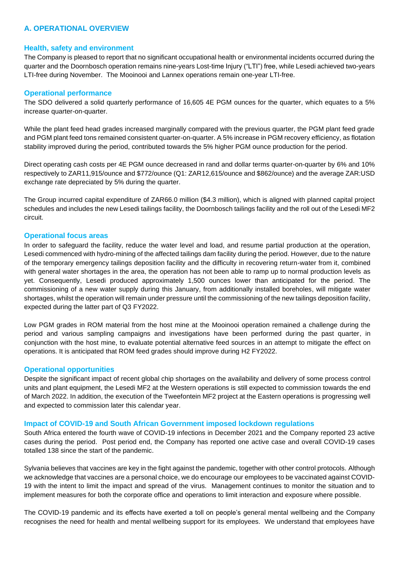# **A. OPERATIONAL OVERVIEW**

#### **Health, safety and environment**

The Company is pleased to report that no significant occupational health or environmental incidents occurred during the quarter and the Doornbosch operation remains nine-years Lost-time Injury ("LTI") free, while Lesedi achieved two-years LTI-free during November. The Mooinooi and Lannex operations remain one-year LTI-free.

#### **Operational performance**

The SDO delivered a solid quarterly performance of 16,605 4E PGM ounces for the quarter, which equates to a 5% increase quarter-on-quarter.

While the plant feed head grades increased marginally compared with the previous quarter, the PGM plant feed grade and PGM plant feed tons remained consistent quarter-on-quarter. A 5% increase in PGM recovery efficiency, as flotation stability improved during the period, contributed towards the 5% higher PGM ounce production for the period.

Direct operating cash costs per 4E PGM ounce decreased in rand and dollar terms quarter-on-quarter by 6% and 10% respectively to ZAR11,915/ounce and \$772/ounce (Q1: ZAR12,615/ounce and \$862/ounce) and the average ZAR:USD exchange rate depreciated by 5% during the quarter.

The Group incurred capital expenditure of ZAR66.0 million (\$4.3 million), which is aligned with planned capital project schedules and includes the new Lesedi tailings facility, the Doornbosch tailings facility and the roll out of the Lesedi MF2 circuit.

#### **Operational focus areas**

In order to safeguard the facility, reduce the water level and load, and resume partial production at the operation, Lesedi commenced with hydro-mining of the affected tailings dam facility during the period. However, due to the nature of the temporary emergency tailings deposition facility and the difficulty in recovering return-water from it, combined with general water shortages in the area, the operation has not been able to ramp up to normal production levels as yet. Consequently, Lesedi produced approximately 1,500 ounces lower than anticipated for the period. The commissioning of a new water supply during this January, from additionally installed boreholes, will mitigate water shortages, whilst the operation will remain under pressure until the commissioning of the new tailings deposition facility, expected during the latter part of Q3 FY2022.

Low PGM grades in ROM material from the host mine at the Mooinooi operation remained a challenge during the period and various sampling campaigns and investigations have been performed during the past quarter, in conjunction with the host mine, to evaluate potential alternative feed sources in an attempt to mitigate the effect on operations. It is anticipated that ROM feed grades should improve during H2 FY2022.

### **Operational opportunities**

Despite the significant impact of recent global chip shortages on the availability and delivery of some process control units and plant equipment, the Lesedi MF2 at the Western operations is still expected to commission towards the end of March 2022. In addition, the execution of the Tweefontein MF2 project at the Eastern operations is progressing well and expected to commission later this calendar year.

#### **Impact of COVID-19 and South African Government imposed lockdown regulations**

South Africa entered the fourth wave of COVID-19 infections in December 2021 and the Company reported 23 active cases during the period. Post period end, the Company has reported one active case and overall COVID-19 cases totalled 138 since the start of the pandemic.

Sylvania believes that vaccines are key in the fight against the pandemic, together with other control protocols. Although we acknowledge that vaccines are a personal choice, we do encourage our employees to be vaccinated against COVID-19 with the intent to limit the impact and spread of the virus. Management continues to monitor the situation and to implement measures for both the corporate office and operations to limit interaction and exposure where possible.

The COVID-19 pandemic and its effects have exerted a toll on people's general mental wellbeing and the Company recognises the need for health and mental wellbeing support for its employees. We understand that employees have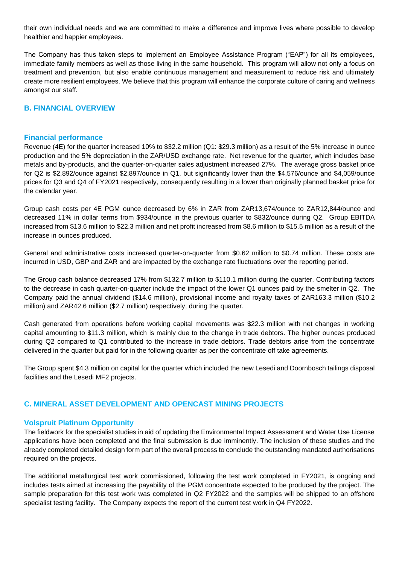their own individual needs and we are committed to make a difference and improve lives where possible to develop healthier and happier employees.

The Company has thus taken steps to implement an Employee Assistance Program ("EAP") for all its employees, immediate family members as well as those living in the same household. This program will allow not only a focus on treatment and prevention, but also enable continuous management and measurement to reduce risk and ultimately create more resilient employees. We believe that this program will enhance the corporate culture of caring and wellness amongst our staff.

# **B. FINANCIAL OVERVIEW**

### **Financial performance**

Revenue (4E) for the quarter increased 10% to \$32.2 million (Q1: \$29.3 million) as a result of the 5% increase in ounce production and the 5% depreciation in the ZAR/USD exchange rate. Net revenue for the quarter, which includes base metals and by-products, and the quarter-on-quarter sales adjustment increased 27%. The average gross basket price for Q2 is \$2,892/ounce against \$2,897/ounce in Q1, but significantly lower than the \$4,576/ounce and \$4,059/ounce prices for Q3 and Q4 of FY2021 respectively, consequently resulting in a lower than originally planned basket price for the calendar year.

Group cash costs per 4E PGM ounce decreased by 6% in ZAR from ZAR13,674/ounce to ZAR12,844/ounce and decreased 11% in dollar terms from \$934/ounce in the previous quarter to \$832/ounce during Q2. Group EBITDA increased from \$13.6 million to \$22.3 million and net profit increased from \$8.6 million to \$15.5 million as a result of the increase in ounces produced.

General and administrative costs increased quarter-on-quarter from \$0.62 million to \$0.74 million. These costs are incurred in USD, GBP and ZAR and are impacted by the exchange rate fluctuations over the reporting period.

The Group cash balance decreased 17% from \$132.7 million to \$110.1 million during the quarter. Contributing factors to the decrease in cash quarter-on-quarter include the impact of the lower Q1 ounces paid by the smelter in Q2. The Company paid the annual dividend (\$14.6 million), provisional income and royalty taxes of ZAR163.3 million (\$10.2 million) and ZAR42.6 million (\$2.7 million) respectively, during the quarter.

Cash generated from operations before working capital movements was \$22.3 million with net changes in working capital amounting to \$11.3 million, which is mainly due to the change in trade debtors. The higher ounces produced during Q2 compared to Q1 contributed to the increase in trade debtors. Trade debtors arise from the concentrate delivered in the quarter but paid for in the following quarter as per the concentrate off take agreements.

The Group spent \$4.3 million on capital for the quarter which included the new Lesedi and Doornbosch tailings disposal facilities and the Lesedi MF2 projects.

# **C. MINERAL ASSET DEVELOPMENT AND OPENCAST MINING PROJECTS**

### **Volspruit Platinum Opportunity**

The fieldwork for the specialist studies in aid of updating the Environmental Impact Assessment and Water Use License applications have been completed and the final submission is due imminently. The inclusion of these studies and the already completed detailed design form part of the overall process to conclude the outstanding mandated authorisations required on the projects.

The additional metallurgical test work commissioned, following the test work completed in FY2021, is ongoing and includes tests aimed at increasing the payability of the PGM concentrate expected to be produced by the project. The sample preparation for this test work was completed in Q2 FY2022 and the samples will be shipped to an offshore specialist testing facility. The Company expects the report of the current test work in Q4 FY2022.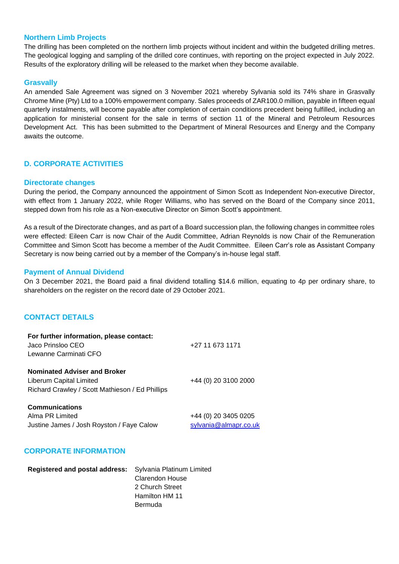## **Northern Limb Projects**

The drilling has been completed on the northern limb projects without incident and within the budgeted drilling metres. The geological logging and sampling of the drilled core continues, with reporting on the project expected in July 2022. Results of the exploratory drilling will be released to the market when they become available.

### **Grasvally**

An amended Sale Agreement was signed on 3 November 2021 whereby Sylvania sold its 74% share in Grasvally Chrome Mine (Pty) Ltd to a 100% empowerment company. Sales proceeds of ZAR100.0 million, payable in fifteen equal quarterly instalments, will become payable after completion of certain conditions precedent being fulfilled, including an application for ministerial consent for the sale in terms of section 11 of the Mineral and Petroleum Resources Development Act. This has been submitted to the Department of Mineral Resources and Energy and the Company awaits the outcome.

## **D. CORPORATE ACTIVITIES**

#### **Directorate changes**

During the period, the Company announced the appointment of Simon Scott as Independent Non-executive Director, with effect from 1 January 2022, while Roger Williams, who has served on the Board of the Company since 2011, stepped down from his role as a Non-executive Director on Simon Scott's appointment.

As a result of the Directorate changes, and as part of a Board succession plan, the following changes in committee roles were effected: Eileen Carr is now Chair of the Audit Committee, Adrian Reynolds is now Chair of the Remuneration Committee and Simon Scott has become a member of the Audit Committee. Eileen Carr's role as Assistant Company Secretary is now being carried out by a member of the Company's in-house legal staff.

#### **Payment of Annual Dividend**

On 3 December 2021, the Board paid a final dividend totalling \$14.6 million, equating to 4p per ordinary share, to shareholders on the register on the record date of 29 October 2021.

### **CONTACT DETAILS**

| For further information, please contact:<br>Jaco Prinsloo CEO<br>Lewanne Carminati CFO                            | +27 11 673 1171                               |
|-------------------------------------------------------------------------------------------------------------------|-----------------------------------------------|
| <b>Nominated Adviser and Broker</b><br>Liberum Capital Limited<br>Richard Crawley / Scott Mathieson / Ed Phillips | +44 (0) 20 3100 2000                          |
| <b>Communications</b><br>Alma PR Limited<br>Justine James / Josh Royston / Faye Calow                             | +44 (0) 20 3405 0205<br>sylvania@almapr.co.uk |

## **CORPORATE INFORMATION**

| Registered and postal address: Sylvania Platinum Limited |                        |
|----------------------------------------------------------|------------------------|
|                                                          | <b>Clarendon House</b> |
|                                                          | 2 Church Street        |
|                                                          | Hamilton HM 11         |
|                                                          | Bermuda                |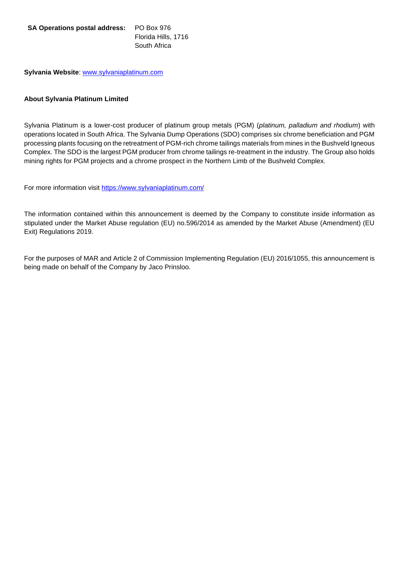**SA Operations postal address:** PO Box 976 Florida Hills, 1716 South Africa

**Sylvania Website**: [www.sylvaniaplatinum.com](http://www.sylvaniaplatinum.com/)

## **About Sylvania Platinum Limited**

Sylvania Platinum is a lower-cost producer of platinum group metals (PGM) (*platinum, palladium and rhodium*) with operations located in South Africa. The Sylvania Dump Operations (SDO) comprises six chrome beneficiation and PGM processing plants focusing on the retreatment of PGM-rich chrome tailings materials from mines in the Bushveld Igneous Complex. The SDO is the largest PGM producer from chrome tailings re-treatment in the industry. The Group also holds mining rights for PGM projects and a chrome prospect in the Northern Limb of the Bushveld Complex.

For more information visit<https://www.sylvaniaplatinum.com/>

The information contained within this announcement is deemed by the Company to constitute inside information as stipulated under the Market Abuse regulation (EU) no.596/2014 as amended by the Market Abuse (Amendment) (EU Exit) Regulations 2019.

For the purposes of MAR and Article 2 of Commission Implementing Regulation (EU) 2016/1055, this announcement is being made on behalf of the Company by Jaco Prinsloo.